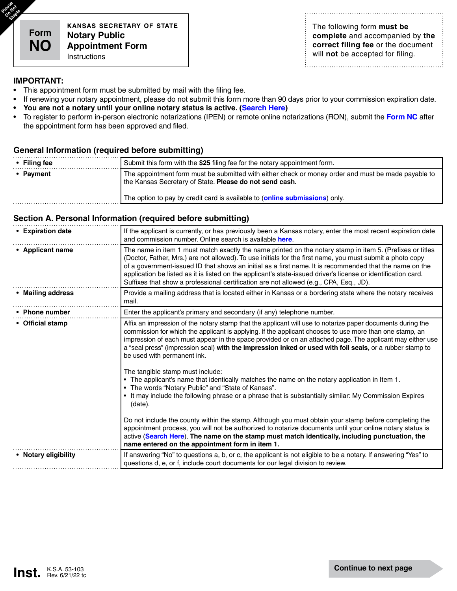**Please** pas<sub>ed</sub><br>O<sup>0</sup>tad **Staple** 

> **kansas secretary of state Notary Public Appointment Form** Instructions

The following form **must be complete** and accompanied by **the correct filing fee** or the document will **not** be accepted for filing.

### **IMPORTANT:**

- This appointment form must be submitted by mail with the filing fee.
- If renewing your notary appointment, please do not submit this form more than 90 days prior to your commission expiration date.
- **• You are not a notary until your online notary status is active. [\(Search Here](https://www.sos.ks.gov/business/notary_public/notary-search.aspx))**
- To register to perform in-person electronic notarizations (IPEN) or remote online notarizations (RON), submit the **[Form NC](https://www.sos.ks.gov/eforms/user_login.aspx?frm=NO)** after the appointment form has been approved and filed.

### **General Information (required before submitting)**

| $\cdot$ Filing fee | Submit this form with the \$25 filing fee for the notary appointment form.                                                                                     |
|--------------------|----------------------------------------------------------------------------------------------------------------------------------------------------------------|
| • Payment          | The appointment form must be submitted with either check or money order and must be made payable to<br>the Kansas Secretary of State. Please do not send cash. |
|                    | The option to pay by credit card is available to (online submissions) only.                                                                                    |

### **Section A. Personal Information (required before submitting)**

| • Expiration date    | If the applicant is currently, or has previously been a Kansas notary, enter the most recent expiration date<br>and commission number. Online search is available here.                                                                                                                                                                                                                                                                                                                                                                                                                                                                                                                                                                                                                       |
|----------------------|-----------------------------------------------------------------------------------------------------------------------------------------------------------------------------------------------------------------------------------------------------------------------------------------------------------------------------------------------------------------------------------------------------------------------------------------------------------------------------------------------------------------------------------------------------------------------------------------------------------------------------------------------------------------------------------------------------------------------------------------------------------------------------------------------|
| • Applicant name     | The name in item 1 must match exactly the name printed on the notary stamp in item 5. (Prefixes or titles<br>(Doctor, Father, Mrs.) are not allowed). To use initials for the first name, you must submit a photo copy<br>of a government-issued ID that shows an initial as a first name. It is recommended that the name on the<br>application be listed as it is listed on the applicant's state-issued driver's license or identification card.<br>Suffixes that show a professional certification are not allowed (e.g., CPA, Esq., JD).                                                                                                                                                                                                                                                 |
| • Mailing address    | Provide a mailing address that is located either in Kansas or a bordering state where the notary receives<br>mail.                                                                                                                                                                                                                                                                                                                                                                                                                                                                                                                                                                                                                                                                            |
| • Phone number       | Enter the applicant's primary and secondary (if any) telephone number.                                                                                                                                                                                                                                                                                                                                                                                                                                                                                                                                                                                                                                                                                                                        |
| • Official stamp     | Affix an impression of the notary stamp that the applicant will use to notarize paper documents during the<br>commission for which the applicant is applying. If the applicant chooses to use more than one stamp, an<br>impression of each must appear in the space provided or on an attached page. The applicant may either use<br>a "seal press" (impression seal) with the impression inked or used with foil seals, or a rubber stamp to<br>be used with permanent ink.<br>The tangible stamp must include:<br>. The applicant's name that identically matches the name on the notary application in Item 1.<br>• The words "Notary Public" and "State of Kansas".<br>• It may include the following phrase or a phrase that is substantially similar: My Commission Expires<br>(date). |
|                      | Do not include the county within the stamp. Although you must obtain your stamp before completing the<br>appointment process, you will not be authorized to notarize documents until your online notary status is<br>active (Search Here). The name on the stamp must match identically, including punctuation, the<br>name entered on the appointment form in item 1.                                                                                                                                                                                                                                                                                                                                                                                                                        |
| • Notary eligibility | If answering "No" to questions a, b, or c, the applicant is not eligible to be a notary. If answering "Yes" to<br>questions d, e, or f, include court documents for our legal division to review.                                                                                                                                                                                                                                                                                                                                                                                                                                                                                                                                                                                             |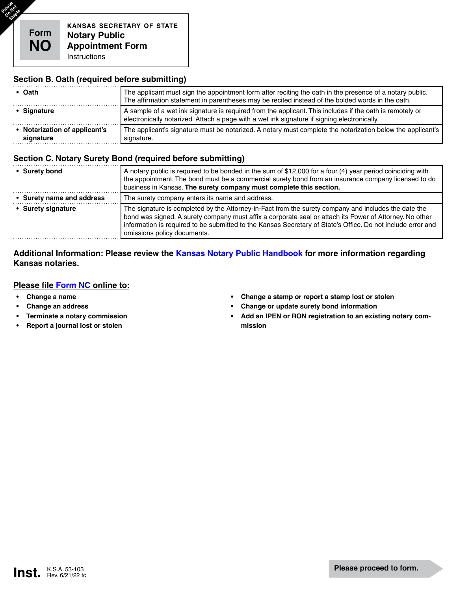Please<sup>e</sup><br>Oostaple

## **Section B. Oath (required before submitting)**

| • Oath                                     | The applicant must sign the appointment form after reciting the oath in the presence of a notary public.<br>The affirmation statement in parentheses may be recited instead of the bolded words in the oath. |
|--------------------------------------------|--------------------------------------------------------------------------------------------------------------------------------------------------------------------------------------------------------------|
| • Signature                                | A sample of a wet ink signature is required from the applicant. This includes if the oath is remotely or<br>electronically notarized. Attach a page with a wet ink signature if signing electronically.      |
| • Notarization of applicant's<br>signature | The applicant's signature must be notarized. A notary must complete the notarization below the applicant's<br>signature.                                                                                     |

## **Section C. Notary Surety Bond (required before submitting)**

| • Surety bond             | A notary public is required to be bonded in the sum of \$12,000 for a four (4) year period coinciding with<br>the appointment. The bond must be a commercial surety bond from an insurance company licensed to do<br>business in Kansas. The surety company must complete this section.                                                                       |
|---------------------------|---------------------------------------------------------------------------------------------------------------------------------------------------------------------------------------------------------------------------------------------------------------------------------------------------------------------------------------------------------------|
| • Surety name and address | The surety company enters its name and address.                                                                                                                                                                                                                                                                                                               |
| • Surety signature        | The signature is completed by the Attorney-in-Fact from the surety company and includes the date the<br>bond was signed. A surety company must affix a corporate seal or attach its Power of Attorney. No other<br>information is required to be submitted to the Kansas Secretary of State's Office. Do not include error and<br>omissions policy documents. |

## **Additional Information: Please review the [Kansas Notary Public Handbook](http://www.sos.ks.gov/forms/administration/NotaryHandbook.pdf) for more information regarding Kansas notaries.**

## **Please file [Form NC](http://www.sos.ks.gov/eforms/user_login.aspx?frm=NO) online to:**

- **• Change a name**
- **• Change an address**
- **• Terminate a notary commission**
- **• Report a journal lost or stolen**
- **• Change a stamp or report a stamp lost or stolen**
- **• Change or update surety bond information**
- **• Add an IPEN or RON registration to an existing notary commission**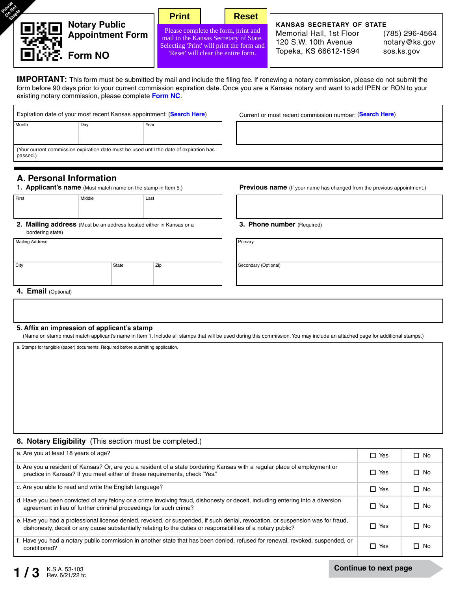| <b>Notary Public</b>   | <b>Print</b>                                                                                                               |                                     | <b>Reset</b> | <b>KANSAS SECRETARY OF STATE</b>                 |                                 |
|------------------------|----------------------------------------------------------------------------------------------------------------------------|-------------------------------------|--------------|--------------------------------------------------|---------------------------------|
| 毁恩<br>Appointment Form | Please complete the form, print and<br>mail to the Kansas Secretary of State.<br>Selecting 'Print' will print the form and |                                     |              | Memorial Hall, 1st Floor<br>120 S.W. 10th Avenue | (785) 296-4564<br>notary@ks.gov |
| □心字 Form NO            |                                                                                                                            | "Reset' will clear the entire form. |              | Topeka, KS 66612-1594                            | sos.ks.gov                      |

**IMPORTANT:** This form must be submitted by mail and include the filing fee. If renewing a notary commission, please do not submit the form before 90 days prior to your current commission expiration date. Once you are a Kansas notary and want to add IPEN or RON to your existing notary commission, please complete **[Form NC](http://www.sos.ks.gov/eforms/user_login.aspx?frm=NO)**.

| Expiration date of your most recent Kansas appointment: (Search Here)<br>Month<br>Day<br>Year |  | Current or most recent commission number: (Search Here)                                |  |
|-----------------------------------------------------------------------------------------------|--|----------------------------------------------------------------------------------------|--|
|                                                                                               |  |                                                                                        |  |
| passed.)                                                                                      |  | (Your current commission expiration date must be used until the date of expiration has |  |

# **A. Personal Information**

| First | Middle | Last |
|-------|--------|------|
|       |        |      |
|       |        |      |

**2. Mailing address** (Must be an address located either in Kansas or a bordering state)

| <b>Mailing Address</b> |       |     | Primary |
|------------------------|-------|-----|---------|
| City                   | State | Zip | Second  |

**1. Applicant's name** (Must match name on the stamp in Item 5.) **Previous name** (If your name has changed from the previous appointment.)

#### **3. Phone number** (Required)

Secondary (Optional)

#### **4. Email** (Optional)

#### **5. Affix an impression of applicant's stamp**

(Name on stamp must match applicant's name in Item 1. Include all stamps that will be used during this commission. You may include an attached page for additional stamps.)

a. Stamps for tangible (paper) documents. Required before submitting application.

### **6. Notary Eligibility** (This section must be completed.)

| a. Are you at least 18 years of age?                                                                                                                                                                                                           | $\Box$ Yes | $\Box$ No |
|------------------------------------------------------------------------------------------------------------------------------------------------------------------------------------------------------------------------------------------------|------------|-----------|
| b. Are you a resident of Kansas? Or, are you a resident of a state bordering Kansas with a regular place of employment or<br>practice in Kansas? If you meet either of these requirements, check "Yes."                                        | $\Box$ Yes | $\Box$ No |
| c. Are you able to read and write the English language?                                                                                                                                                                                        | $\Box$ Yes | $\Box$ No |
| d. Have you been convicted of any felony or a crime involving fraud, dishonesty or deceit, including entering into a diversion<br>agreement in lieu of further criminal proceedings for such crime?                                            | $\Box$ Yes | $\Box$ No |
| e. Have you had a professional license denied, revoked, or suspended, if such denial, revocation, or suspension was for fraud,<br>dishonesty, deceit or any cause substantially relating to the duties or responsibilities of a notary public? | $\Box$ Yes | $\Box$ No |
| f. Have you had a notary public commission in another state that has been denied, refused for renewal, revoked, suspended, or<br>conditioned?                                                                                                  | $\Box$ Yes | $\Box$ No |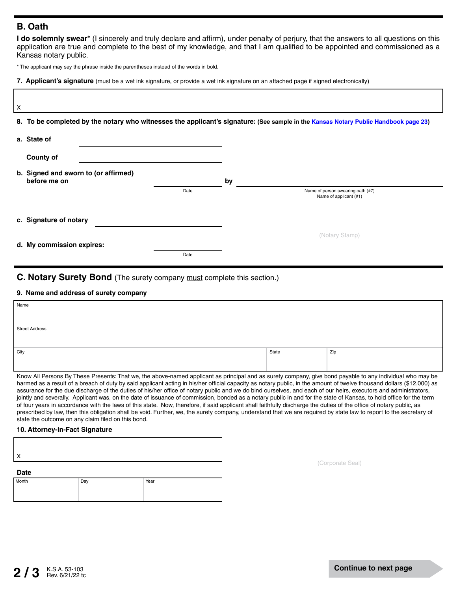## **B. Oath**

**I do solemnly swear**\* (I sincerely and truly declare and affirm), under penalty of perjury, that the answers to all questions on this application are true and complete to the best of my knowledge, and that I am qualified to be appointed and commissioned as a Kansas notary public.

\* The applicant may say the phrase inside the parentheses instead of the words in bold.

**7. Applicant's signature** (must be a wet ink signature, or provide a wet ink signature on an attached page if signed electronically)

| X |                                                      |      |    |                                                                                                                                     |
|---|------------------------------------------------------|------|----|-------------------------------------------------------------------------------------------------------------------------------------|
|   |                                                      |      |    | 8. To be completed by the notary who witnesses the applicant's signature: (See sample in the Kansas Notary Public Handbook page 23) |
|   | a. State of                                          |      |    |                                                                                                                                     |
|   | <b>County of</b>                                     |      |    |                                                                                                                                     |
|   | b. Signed and sworn to (or affirmed)<br>before me on |      | by |                                                                                                                                     |
|   |                                                      | Date |    | Name of person swearing oath (#7)<br>Name of applicant (#1)                                                                         |
|   | c. Signature of notary                               |      |    |                                                                                                                                     |
|   | d. My commission expires:                            |      |    | (Notary Stamp)                                                                                                                      |
|   |                                                      | Date |    |                                                                                                                                     |

## **C. Notary Surety Bond** (The surety company must complete this section.)

## **9. Name and address of surety company**

| Name                  |       |     |
|-----------------------|-------|-----|
|                       |       |     |
| <b>Street Address</b> |       |     |
|                       |       |     |
| City                  | State | Zip |
|                       |       |     |
|                       |       |     |

Know All Persons By These Presents: That we, the above-named applicant as principal and as surety company, give bond payable to any individual who may be harmed as a result of a breach of duty by said applicant acting in his/her official capacity as notary public, in the amount of twelve thousand dollars (\$12,000) as assurance for the due discharge of the duties of his/her office of notary public and we do bind ourselves, and each of our heirs, executors and administrators, jointly and severally. Applicant was, on the date of issuance of commission, bonded as a notary public in and for the state of Kansas, to hold office for the term of four years in accordance with the laws of this state. Now, therefore, if said applicant shall faithfully discharge the duties of the office of notary public, as prescribed by law, then this obligation shall be void. Further, we, the surety company, understand that we are required by state law to report to the secretary of state the outcome on any claim filed on this bond.

### **10. Attorney-in-Fact Signature**

(Corporate Seal)

**Date**

| _____ |     |      |
|-------|-----|------|
| Month | Day | Year |
|       |     |      |
|       |     |      |